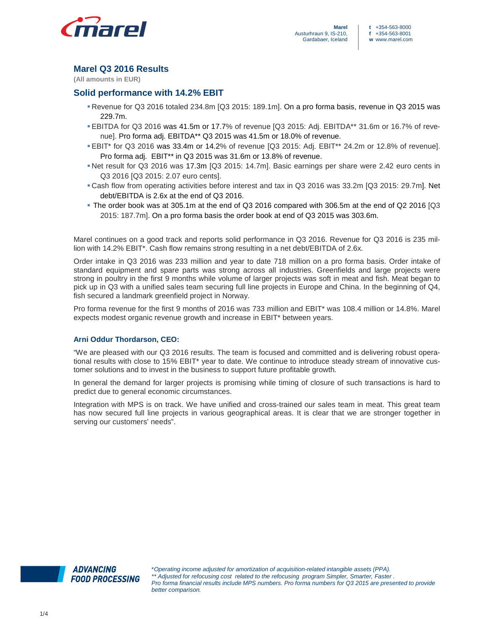

# **Marel Q3 2016 Results**

**(All amounts in EUR)** 

## **Solid performance with 14.2% EBIT**

- Revenue for Q3 2016 totaled 234.8m [Q3 2015: 189.1m]. On a pro forma basis, revenue in Q3 2015 was 229.7m.
- EBITDA for Q3 2016 was 41.5m or 17.7% of revenue [Q3 2015: Adj. EBITDA\*\* 31.6m or 16.7% of revenue]. Pro forma adj. EBITDA\*\* Q3 2015 was 41.5m or 18.0% of revenue.
- EBIT\* for Q3 2016 was 33.4m or 14.2% of revenue [Q3 2015: Adj. EBIT\*\* 24.2m or 12.8% of revenue]. Pro forma adj. EBIT\*\* in Q3 2015 was 31.6m or 13.8% of revenue.
- Net result for Q3 2016 was 17.3m [Q3 2015: 14.7m]. Basic earnings per share were 2.42 euro cents in Q3 2016 [Q3 2015: 2.07 euro cents].
- Cash flow from operating activities before interest and tax in Q3 2016 was 33.2m [Q3 2015: 29.7m]. Net debt/EBITDA is 2.6x at the end of Q3 2016.
- The order book was at 305.1m at the end of Q3 2016 compared with 306.5m at the end of Q2 2016 [Q3 2015: 187.7m]. On a pro forma basis the order book at end of Q3 2015 was 303.6m.

Marel continues on a good track and reports solid performance in Q3 2016. Revenue for Q3 2016 is 235 million with 14.2% EBIT\*. Cash flow remains strong resulting in a net debt/EBITDA of 2.6x.

Order intake in Q3 2016 was 233 million and year to date 718 million on a pro forma basis. Order intake of standard equipment and spare parts was strong across all industries. Greenfields and large projects were strong in poultry in the first 9 months while volume of larger projects was soft in meat and fish. Meat began to pick up in Q3 with a unified sales team securing full line projects in Europe and China. In the beginning of Q4, fish secured a landmark greenfield project in Norway.

Pro forma revenue for the first 9 months of 2016 was 733 million and EBIT\* was 108.4 million or 14.8%. Marel expects modest organic revenue growth and increase in EBIT\* between years.

## **Arni Oddur Thordarson, CEO:**

"We are pleased with our Q3 2016 results. The team is focused and committed and is delivering robust operational results with close to 15% EBIT\* year to date. We continue to introduce steady stream of innovative customer solutions and to invest in the business to support future profitable growth.

In general the demand for larger projects is promising while timing of closure of such transactions is hard to predict due to general economic circumstances.

Integration with MPS is on track. We have unified and cross-trained our sales team in meat. This great team has now secured full line projects in various geographical areas. It is clear that we are stronger together in serving our customers' needs".

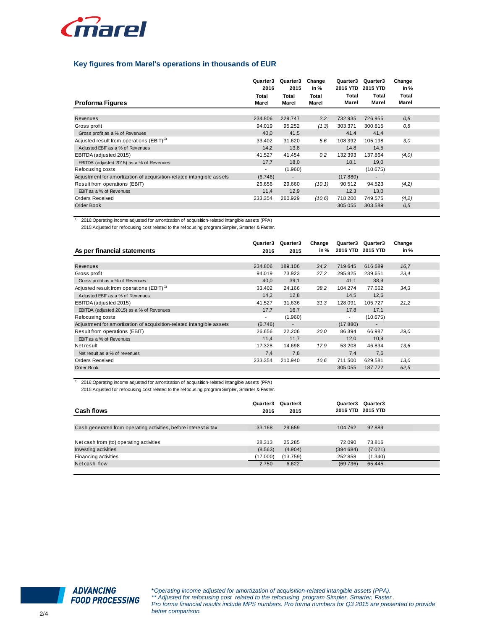

## **Key figures from Marel's operations in thousands of EUR**

| <b>Proforma Figures</b>                                              | Quarter3<br>2016<br>Total<br>Marel | Quarter3<br>2015<br>Total<br>Marel | Change<br>in %<br>Total<br>Marel | Quarter3<br>2016 YTD<br>Total<br>Marel | Quarter3<br>2015 YTD<br>Total<br>Marel | Change<br>in $%$<br>Total<br>Marel |
|----------------------------------------------------------------------|------------------------------------|------------------------------------|----------------------------------|----------------------------------------|----------------------------------------|------------------------------------|
| Revenues                                                             | 234.806                            | 229.747                            | 2,2                              | 732.935                                | 726.955                                | 0,8                                |
|                                                                      | 94.019                             | 95.252                             |                                  | 303.371                                | 300.815                                |                                    |
| Gross profit                                                         |                                    |                                    | (1,3)                            |                                        |                                        | 0,8                                |
| Gross profit as a % of Revenues                                      | 40,0                               | 41,5                               |                                  | 41,4                                   | 41,4                                   |                                    |
| Adjusted result from operations (EBIT) <sup>1)</sup>                 | 33.402                             | 31.620                             | 5.6                              | 108.392                                | 105.198                                | 3,0                                |
| Adjusted EBIT as a % of Revenues                                     | 14.2                               | 13,8                               |                                  | 14,8                                   | 14,5                                   |                                    |
| EBITDA (adjusted 2015)                                               | 41.527                             | 41.454                             | 0,2                              | 132.393                                | 137.864                                | (4,0)                              |
| EBITDA (adjusted 2015) as a % of Revenues                            | 17,7                               | 18,0                               |                                  | 18,1                                   | 19,0                                   |                                    |
| Refocusing costs                                                     | $\overline{\phantom{a}}$           | (1.960)                            |                                  | $\overline{\phantom{a}}$               | (10.675)                               |                                    |
| Adjustment for amortization of acquisition-related intangible assets | (6.746)                            | $\overline{\phantom{a}}$           |                                  | (17.880)                               |                                        |                                    |
| Result from operations (EBIT)                                        | 26.656                             | 29.660                             | (10,1)                           | 90.512                                 | 94.523                                 | (4,2)                              |
| EBIT as a % of Revenues                                              | 11,4                               | 12,9                               |                                  | 12,3                                   | 13,0                                   |                                    |
| <b>Orders Received</b>                                               | 233.354                            | 260.929                            | (10,6)                           | 718.200                                | 749.575                                | (4,2)                              |
| Order Book                                                           |                                    |                                    |                                  | 305.055                                | 303.589                                | 0.5                                |

1) 2016:Operating income adjusted for amortization of acquisition-related intangible assets (PPA)

2015:Adjusted for refocusing cost related to the refocusing program Simpler, Smarter & Faster.

|                                                                      | Quarter3                 | Quarter3 | Change | Quarter3                 | Quarter3       | Change |  |
|----------------------------------------------------------------------|--------------------------|----------|--------|--------------------------|----------------|--------|--|
| As per financial statements                                          | 2016                     | 2015     | in %   | 2016 YTD 2015 YTD        |                | in %   |  |
|                                                                      |                          |          |        |                          |                |        |  |
| Revenues                                                             | 234.806                  | 189.106  | 24,2   | 719.645                  | 616.689        | 16,7   |  |
| Gross profit                                                         | 94.019                   | 73.923   | 27,2   | 295.825                  | 239.651        | 23,4   |  |
| Gross profit as a % of Revenues                                      | 40,0                     | 39,1     |        | 41,1                     | 38,9           |        |  |
| Adjusted result from operations (EBIT) <sup>1)</sup>                 | 33.402                   | 24.166   | 38,2   | 104.274                  | 77.662         | 34.3   |  |
| Adjusted EBIT as a % of Revenues                                     | 14.2                     | 12,8     |        | 14.5                     | 12,6           |        |  |
| EBITDA (adjusted 2015)                                               | 41.527                   | 31.636   | 31,3   | 128.091                  | 105.727        | 21,2   |  |
| EBITDA (adjusted 2015) as a % of Revenues                            | 17,7                     | 16,7     |        | 17,8                     | 17,1           |        |  |
| Refocusing costs                                                     | $\overline{\phantom{a}}$ | (1.960)  |        | $\overline{\phantom{a}}$ | (10.675)       |        |  |
| Adjustment for amortization of acquisition-related intangible assets | (6.746)                  |          |        | (17.880)                 | $\blacksquare$ |        |  |
| Result from operations (EBIT)                                        | 26.656                   | 22.206   | 20,0   | 86.394                   | 66.987         | 29,0   |  |
| EBIT as a % of Revenues                                              | 11,4                     | 11,7     |        | 12,0                     | 10,9           |        |  |
| Net result                                                           | 17.328                   | 14.698   | 17,9   | 53.208                   | 46.834         | 13.6   |  |
| Net result as a % of revenues                                        | 7,4                      | 7,8      |        | 7,4                      | 7,6            |        |  |
| <b>Orders Received</b>                                               | 233.354                  | 210.940  | 10,6   | 711.500                  | 629.581        | 13,0   |  |
| Order Book                                                           |                          |          |        | 305.055                  | 187.722        | 62,5   |  |

1) 2016:Operating income adjusted for amortization of acquisition-related intangible assets (PPA) 2015:Adjusted for refocusing cost related to the refocusing program Simpler, Smarter & Faster.

| Cash flows                                                      | Quarter3<br>2016 | Quarter3<br>2015 | Quarter3  | Quarter3<br>2016 YTD 2015 YTD |  |
|-----------------------------------------------------------------|------------------|------------------|-----------|-------------------------------|--|
|                                                                 |                  |                  |           |                               |  |
| Cash generated from operating activities, before interest & tax | 33.168           | 29.659           | 104.762   | 92.889                        |  |
|                                                                 |                  |                  |           |                               |  |
| Net cash from (to) operating activities                         | 28.313           | 25.285           | 72.090    | 73.816                        |  |
| Investing activities                                            | (8.563)          | (4.904)          | (394.684) | (7.021)                       |  |
| Financing activities                                            | (17.000)         | (13.759)         | 252.858   | (1.340)                       |  |
| Net cash flow                                                   | 2.750            | 6.622            | (69.736)  | 65.445                        |  |
|                                                                 |                  |                  |           |                               |  |

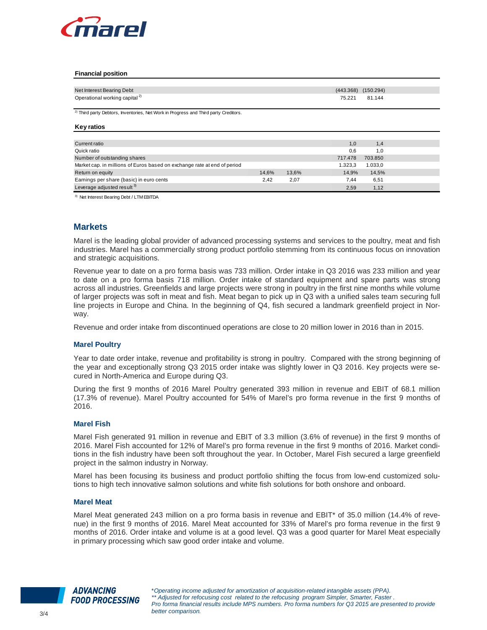

#### **Financial position**

| Net Interest Bearing Debt                 | $(443.368)$ $(150.294)$ |
|-------------------------------------------|-------------------------|
| Operational working capital <sup>2)</sup> | 75.221 81.144           |

<sup>2)</sup> Third party Debtors, Inventories, Net Work in Progress and Third party Creditors.

### **Key ratios**

| Current ratio                                                            |       |       | 1.0     | 1,4     |  |
|--------------------------------------------------------------------------|-------|-------|---------|---------|--|
| Quick ratio                                                              |       |       | 0.6     | 1.0     |  |
| Number of outstanding shares                                             |       |       | 717.478 | 703.850 |  |
| Market cap. in millions of Euros based on exchange rate at end of period |       |       | 1.323.3 | 1.033.0 |  |
| Return on equity                                                         | 14.6% | 13,6% | 14.9%   | 14,5%   |  |
| Earnings per share (basic) in euro cents                                 | 2.42  | 2.07  | 7.44    | 6,51    |  |
| Leverage adjusted result <sup>3)</sup>                                   |       |       | 2.59    | 1.12    |  |

3) Net Interest Bearing Debt / LTM EBITDA

## **Markets**

Marel is the leading global provider of advanced processing systems and services to the poultry, meat and fish industries. Marel has a commercially strong product portfolio stemming from its continuous focus on innovation and strategic acquisitions.

Revenue year to date on a pro forma basis was 733 million. Order intake in Q3 2016 was 233 million and year to date on a pro forma basis 718 million. Order intake of standard equipment and spare parts was strong across all industries. Greenfields and large projects were strong in poultry in the first nine months while volume of larger projects was soft in meat and fish. Meat began to pick up in Q3 with a unified sales team securing full line projects in Europe and China. In the beginning of Q4, fish secured a landmark greenfield project in Norway.

Revenue and order intake from discontinued operations are close to 20 million lower in 2016 than in 2015.

### **Marel Poultry**

Year to date order intake, revenue and profitability is strong in poultry. Compared with the strong beginning of the year and exceptionally strong Q3 2015 order intake was slightly lower in Q3 2016. Key projects were secured in North-America and Europe during Q3.

During the first 9 months of 2016 Marel Poultry generated 393 million in revenue and EBIT of 68.1 million (17.3% of revenue). Marel Poultry accounted for 54% of Marel's pro forma revenue in the first 9 months of 2016.

#### **Marel Fish**

Marel Fish generated 91 million in revenue and EBIT of 3.3 million (3.6% of revenue) in the first 9 months of 2016. Marel Fish accounted for 12% of Marel's pro forma revenue in the first 9 months of 2016. Market conditions in the fish industry have been soft throughout the year. In October, Marel Fish secured a large greenfield project in the salmon industry in Norway.

Marel has been focusing its business and product portfolio shifting the focus from low-end customized solutions to high tech innovative salmon solutions and white fish solutions for both onshore and onboard.

#### **Marel Meat**

Marel Meat generated 243 million on a pro forma basis in revenue and EBIT\* of 35.0 million (14.4% of revenue) in the first 9 months of 2016. Marel Meat accounted for 33% of Marel's pro forma revenue in the first 9 months of 2016. Order intake and volume is at a good level. Q3 was a good quarter for Marel Meat especially in primary processing which saw good order intake and volume.